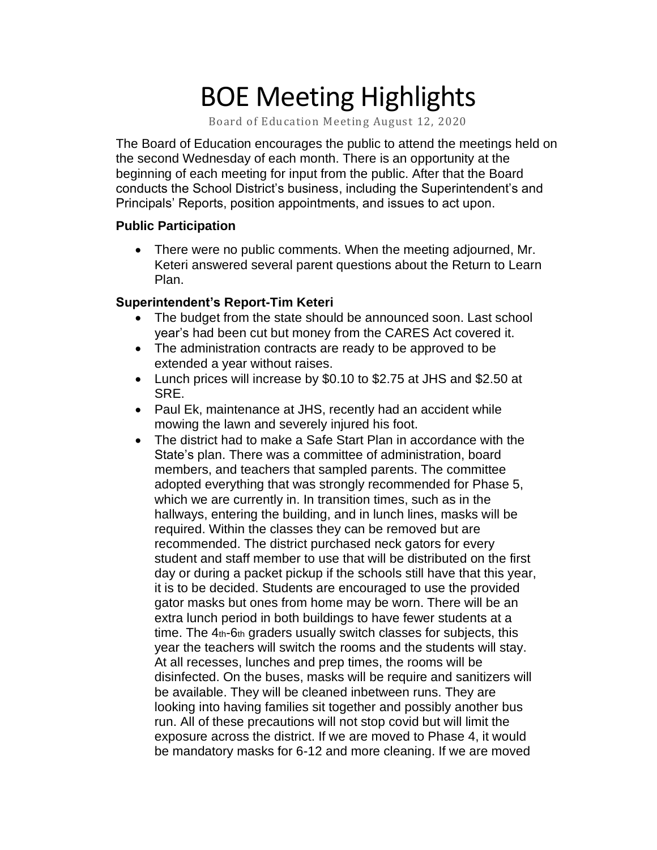# BOE Meeting Highlights

Board of Education Meeting August 12, 2020

The Board of Education encourages the public to attend the meetings held on the second Wednesday of each month. There is an opportunity at the beginning of each meeting for input from the public. After that the Board conducts the School District's business, including the Superintendent's and Principals' Reports, position appointments, and issues to act upon.

#### **Public Participation**

• There were no public comments. When the meeting adjourned, Mr. Keteri answered several parent questions about the Return to Learn Plan.

#### **Superintendent's Report-Tim Keteri**

- The budget from the state should be announced soon. Last school year's had been cut but money from the CARES Act covered it.
- The administration contracts are ready to be approved to be extended a year without raises.
- Lunch prices will increase by \$0.10 to \$2.75 at JHS and \$2.50 at SRE.
- Paul Ek, maintenance at JHS, recently had an accident while mowing the lawn and severely injured his foot.
- The district had to make a Safe Start Plan in accordance with the State's plan. There was a committee of administration, board members, and teachers that sampled parents. The committee adopted everything that was strongly recommended for Phase 5, which we are currently in. In transition times, such as in the hallways, entering the building, and in lunch lines, masks will be required. Within the classes they can be removed but are recommended. The district purchased neck gators for every student and staff member to use that will be distributed on the first day or during a packet pickup if the schools still have that this year, it is to be decided. Students are encouraged to use the provided gator masks but ones from home may be worn. There will be an extra lunch period in both buildings to have fewer students at a time. The 4th-6th graders usually switch classes for subjects, this year the teachers will switch the rooms and the students will stay. At all recesses, lunches and prep times, the rooms will be disinfected. On the buses, masks will be require and sanitizers will be available. They will be cleaned inbetween runs. They are looking into having families sit together and possibly another bus run. All of these precautions will not stop covid but will limit the exposure across the district. If we are moved to Phase 4, it would be mandatory masks for 6-12 and more cleaning. If we are moved